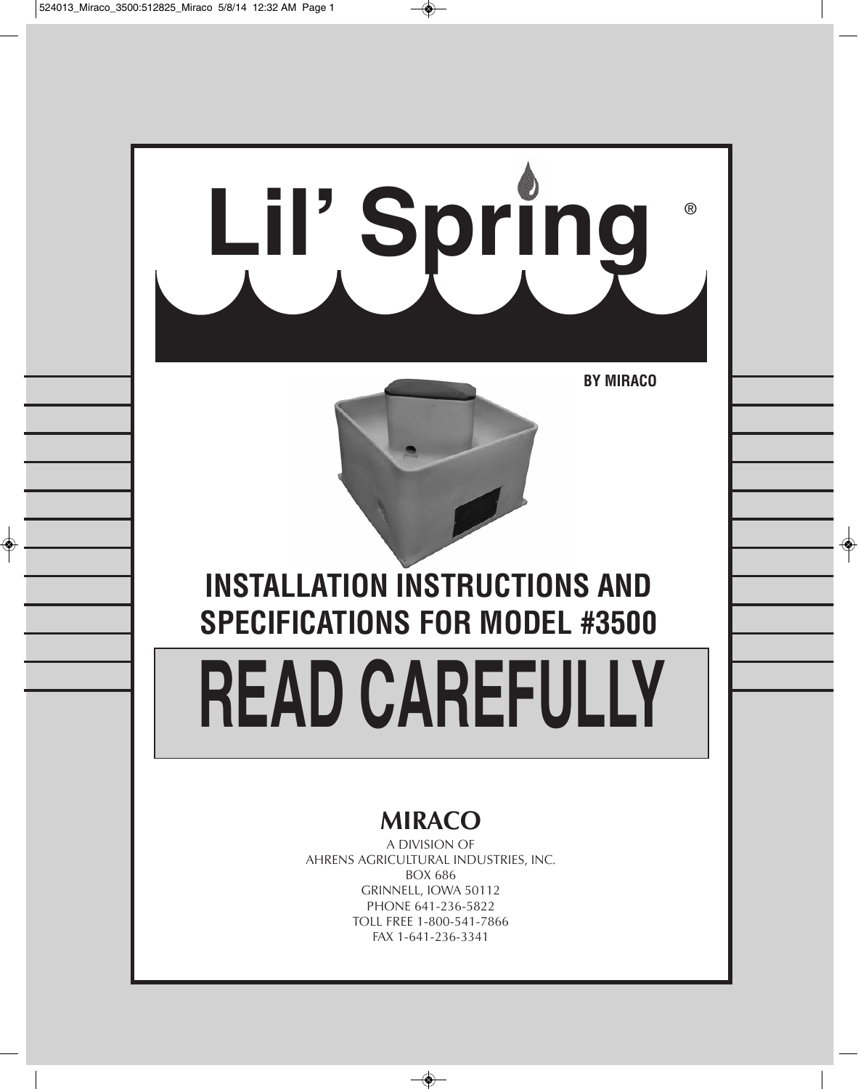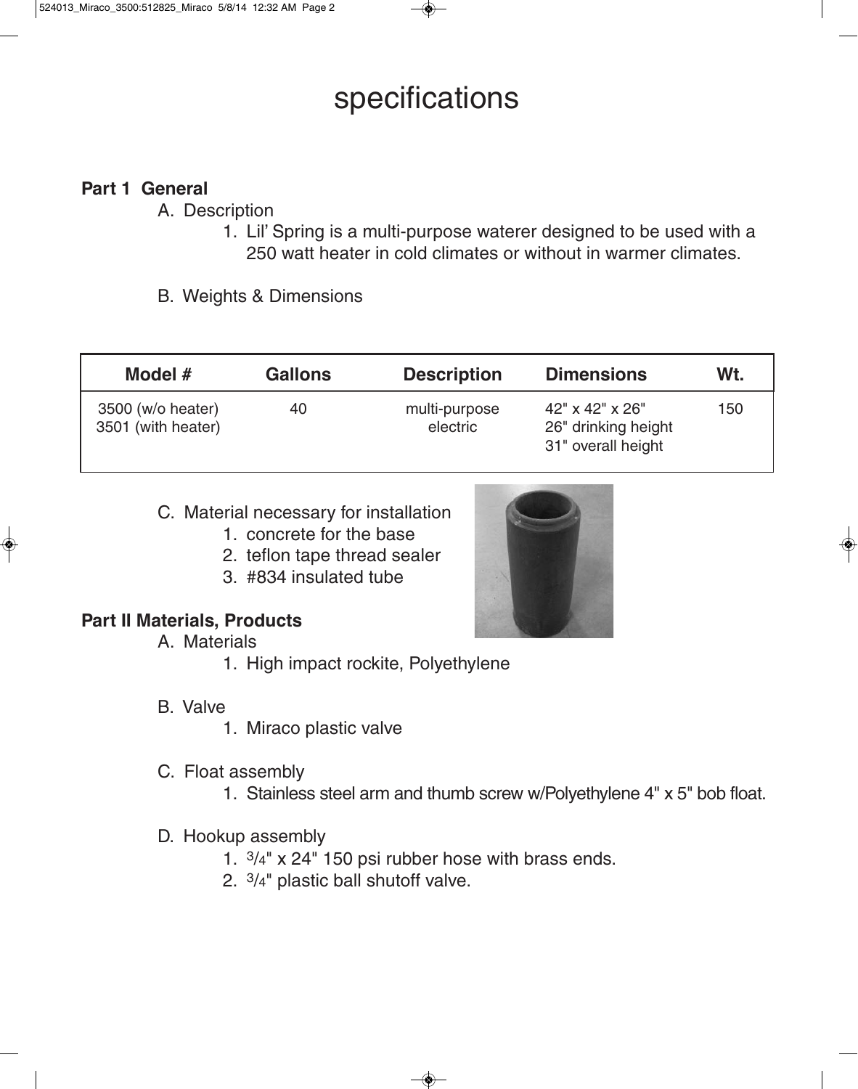# specifications

# **Part 1 General**

- A. Description
	- 1. Lil' Spring is a multi-purpose waterer designed to be used with a 250 watt heater in cold climates or without in warmer climates.
- B. Weights & Dimensions

| Model $#$                               | <b>Gallons</b> | <b>Description</b>        | <b>Dimensions</b>                                                        | Wt. |
|-----------------------------------------|----------------|---------------------------|--------------------------------------------------------------------------|-----|
| 3500 (w/o heater)<br>3501 (with heater) | 40             | multi-purpose<br>electric | $42" \times 42" \times 26"$<br>26" drinking height<br>31" overall height | 150 |

- C. Material necessary for installation
	- 1. concrete for the base
	- 2. teflon tape thread sealer
	- 3. #834 insulated tube



## **Part II Materials, Products**

- A. Materials
	- 1. High impact rockite, Polyethylene
- B. Valve
	- 1. Miraco plastic valve
- C. Float assembly
	- 1. Stainless steel arm and thumb screw w/Polyethylene 4" x 5" bob float.
- D. Hookup assembly
	- 1. 3/4" x 24" 150 psi rubber hose with brass ends.
	- 2. 3/4" plastic ball shutoff valve.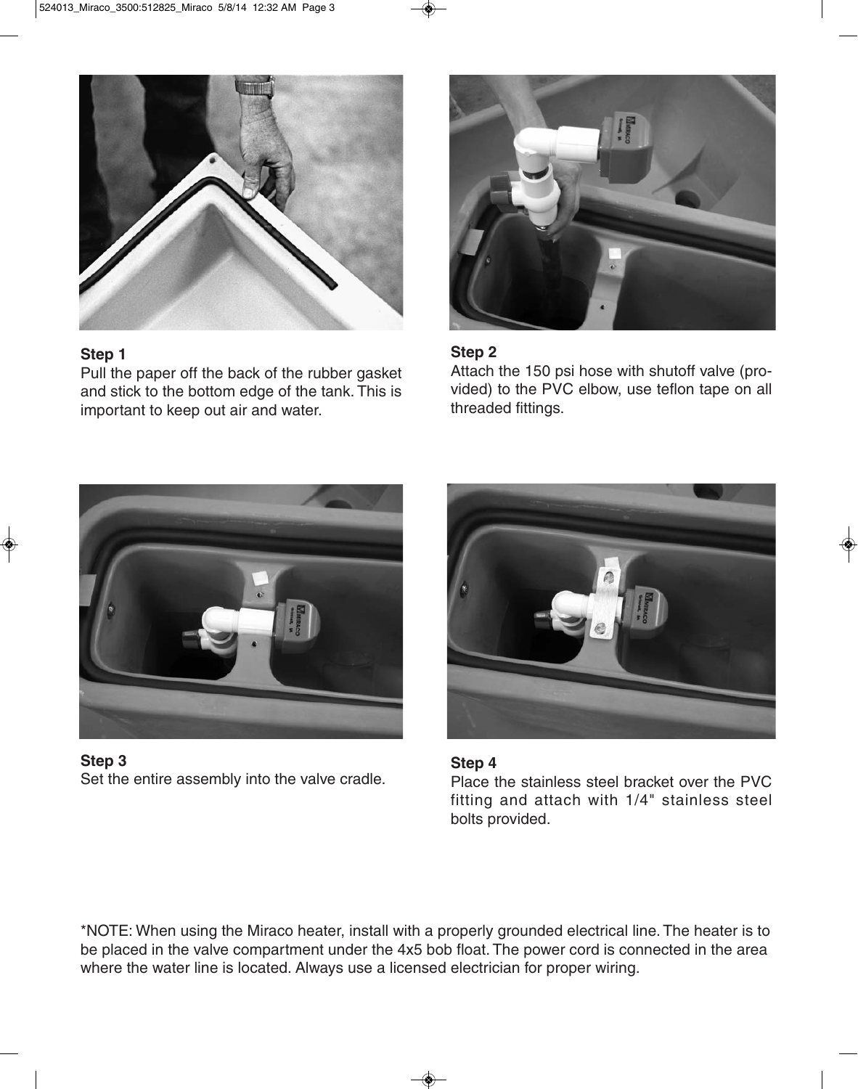

#### **Step 1**

Pull the paper off the back of the rubber gasket and stick to the bottom edge of the tank. This is important to keep out air and water.



#### **Step 2**

Attach the 150 psi hose with shutoff valve (provided) to the PVC elbow, use teflon tape on all threaded fittings.



**Step 3** Set the entire assembly into the valve cradle.



# **Step 4**

Place the stainless steel bracket over the PVC fitting and attach with 1/4" stainless steel bolts provided.

\*NOTE: When using the Miraco heater, install with a properly grounded electrical line. The heater is to be placed in the valve compartment under the 4x5 bob float. The power cord is connected in the area where the water line is located. Always use a licensed electrician for proper wiring.